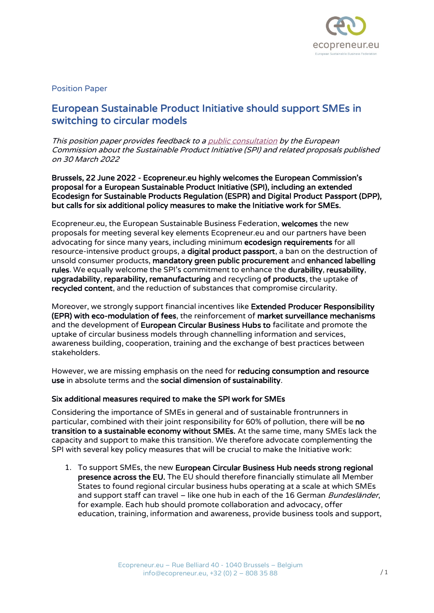

# Position Paper

# European Sustainable Product Initiative should support SMEs in switching to circular models

This position paper provides feedback to [a public consultation](https://ec.europa.eu/info/law/better-regulation/have-your-say/initiatives/12567-Sustainable-products-initiative_en) by the European Commission about the Sustainable Product Initiative (SPI) and related proposals published on 30 March 2022

Brussels, 22 June 2022 - Ecopreneur.eu highly welcomes the European Commission's proposal for a European Sustainable Product Initiative (SPI), including an extended Ecodesign for Sustainable Products Regulation (ESPR) and Digital Product Passport (DPP), but calls for six additional policy measures to make the Initiative work for SMEs.

Ecopreneur.eu, the European Sustainable Business Federation, welcomes the new proposals for meeting several key elements Ecopreneur.eu and our partners have been advocating for since many years, including minimum ecodesign requirements for all resource-intensive product groups, a **digital product passport**, a ban on the destruction of unsold consumer products, mandatory green public procurement and enhanced labelling rules. We equally welcome the SPI's commitment to enhance the durability, reusability, upgradability, reparability, remanufacturing and recycling of products, the uptake of recycled content, and the reduction of substances that compromise circularity.

Moreover, we strongly support financial incentives like Extended Producer Responsibility (EPR) with eco-modulation of fees, the reinforcement of market surveillance mechanisms and the development of European Circular Business Hubs to facilitate and promote the uptake of circular business models through channelling information and services, awareness building, cooperation, training and the exchange of best practices between stakeholders.

However, we are missing emphasis on the need for reducing consumption and resource use in absolute terms and the social dimension of sustainability.

### Six additional measures required to make the SPI work for SMEs

Considering the importance of SMEs in general and of sustainable frontrunners in particular, combined with their joint responsibility for 60% of pollution, there will be no transition to a sustainable economy without SMEs. At the same time, many SMEs lack the capacity and support to make this transition. We therefore advocate complementing the SPI with several key policy measures that will be crucial to make the Initiative work:

1. To support SMEs, the new European Circular Business Hub needs strong regional presence across the EU. The EU should therefore financially stimulate all Member States to found regional circular business hubs operating at a scale at which SMEs and support staff can travel – like one hub in each of the 16 German Bundesländer, for example. Each hub should promote collaboration and advocacy, offer education, training, information and awareness, provide business tools and support,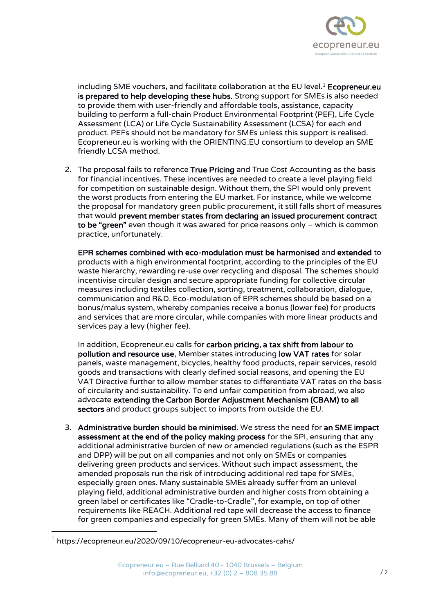

including SME vouchers, and facilitate collaboration at the EU level. $1$  Ecopreneur.eu is prepared to help developing these hubs. Strong support for SMEs is also needed to provide them with user-friendly and affordable tools, assistance, capacity building to perform a full-chain Product Environmental Footprint (PEF), Life Cycle Assessment (LCA) or Life Cycle Sustainability Assessment (LCSA) for each end product. PEFs should not be mandatory for SMEs unless this support is realised. Ecopreneur.eu is working with the ORIENTING.EU consortium to develop an SME friendly LCSA method.

2. The proposal fails to reference True Pricing and True Cost Accounting as the basis for financial incentives. These incentives are needed to create a level playing field for competition on sustainable design. Without them, the SPI would only prevent the worst products from entering the EU market. For instance, while we welcome the proposal for mandatory green public procurement, it still falls short of measures that would prevent member states from declaring an issued procurement contract to be "green" even though it was awared for price reasons only – which is common practice, unfortunately.

EPR schemes combined with eco-modulation must be harmonised and extended to products with a high environmental footprint, according to the principles of the EU waste hierarchy, rewarding re-use over recycling and disposal. The schemes should incentivise circular design and secure appropriate funding for collective circular measures including textiles collection, sorting, treatment, collaboration, dialogue, communication and R&D. Eco-modulation of EPR schemes should be based on a bonus/malus system, whereby companies receive a bonus (lower fee) for products and services that are more circular, while companies with more linear products and services pay a levy (higher fee).

In addition, Ecopreneur.eu calls for carbon pricing, a tax shift from labour to pollution and resource use, Member states introducing low VAT rates for solar panels, waste management, bicycles, healthy food products, repair services, resold goods and transactions with clearly defined social reasons, and opening the EU VAT Directive further to allow member states to differentiate VAT rates on the basis of circularity and sustainability. To end unfair competition from abroad, we also advocate extending the Carbon Border Adjustment Mechanism (CBAM) to all sectors and product groups subject to imports from outside the EU.

3. Administrative burden should be minimised. We stress the need for an SME impact assessment at the end of the policy making process for the SPI, ensuring that any additional administrative burden of new or amended regulations (such as the ESPR and DPP) will be put on all companies and not only on SMEs or companies delivering green products and services. Without such impact assessment, the amended proposals run the risk of introducing additional red tape for SMEs, especially green ones. Many sustainable SMEs already suffer from an unlevel playing field, additional administrative burden and higher costs from obtaining a green label or certificates like "Cradle-to-Cradle", for example, on top of other requirements like REACH. Additional red tape will decrease the access to finance for green companies and especially for green SMEs. Many of them will not be able

 $1$  https://ecopreneur.eu/2020/09/10/ecopreneur-eu-advocates-cahs/